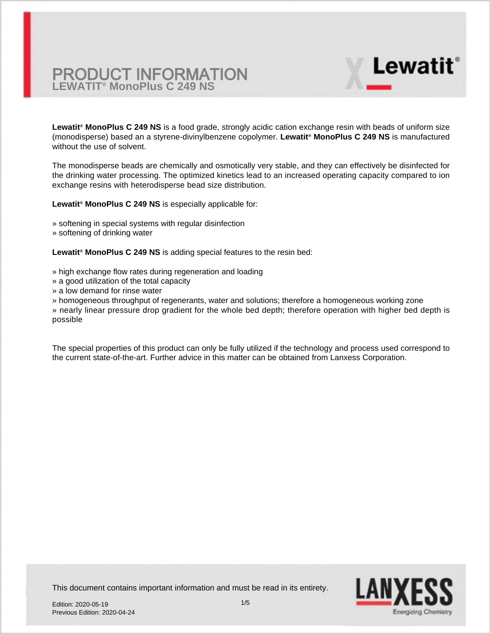**Lewatit® MonoPlus C 249 NS** is a food grade, strongly acidic cation exchange resin with beads of uniform size (monodisperse) based an a styrene-divinylbenzene copolymer. **Lewatit® MonoPlus C 249 NS** is manufactured without the use of solvent.

The monodisperse beads are chemically and osmotically very stable, and they can effectively be disinfected for the drinking water processing. The optimized kinetics lead to an increased operating capacity compared to ion exchange resins with heterodisperse bead size distribution.

**Lewatit® MonoPlus C 249 NS** is especially applicable for:

- » softening in special systems with regular disinfection
- » softening of drinking water

**Lewatit® MonoPlus C 249 NS** is adding special features to the resin bed:

- » high exchange flow rates during regeneration and loading
- » a good utilization of the total capacity
- » a low demand for rinse water
- » homogeneous throughput of regenerants, water and solutions; therefore a homogeneous working zone

» nearly linear pressure drop gradient for the whole bed depth; therefore operation with higher bed depth is possible

The special properties of this product can only be fully utilized if the technology and process used correspond to the current state-of-the-art. Further advice in this matter can be obtained from Lanxess Corporation.



**Lewatit**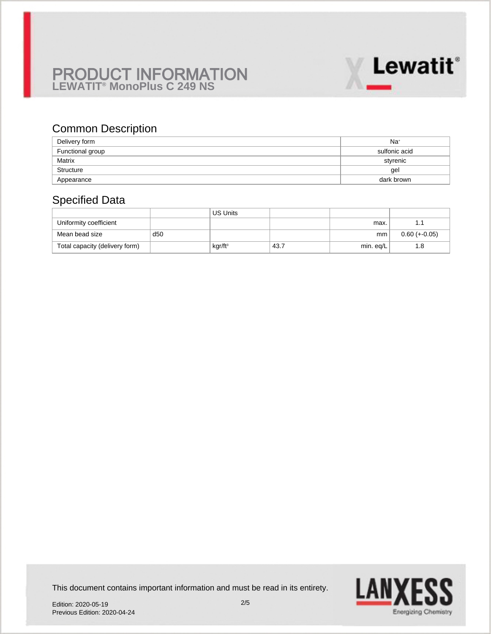

# Common Description

| Delivery form    | $Na+$         |
|------------------|---------------|
| Functional group | sulfonic acid |
| Matrix           | styrenic      |
| Structure        | gel           |
| Appearance       | dark brown    |

# Specified Data

|                                |     | <b>US Units</b>     |      |               |                 |
|--------------------------------|-----|---------------------|------|---------------|-----------------|
| Uniformity coefficient         |     |                     |      | max.          |                 |
| Mean bead size                 | d50 |                     |      | <sub>mm</sub> | $0.60 (+-0.05)$ |
| Total capacity (delivery form) |     | kgr/ft <sup>3</sup> | 43.7 | min. eq/L     | l .8            |

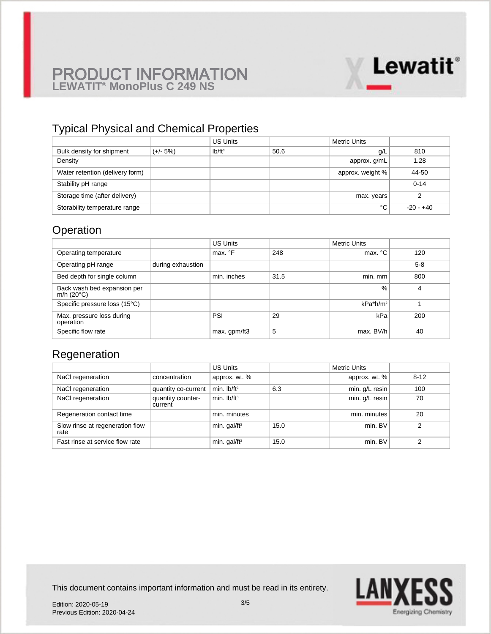

# Typical Physical and Chemical Properties

|                                 |            | <b>US Units</b> |      | <b>Metric Units</b> |           |
|---------------------------------|------------|-----------------|------|---------------------|-----------|
| Bulk density for shipment       | $(+/- 5%)$ | $Ib/ft^3$       | 50.6 | g/L                 | 810       |
| Density                         |            |                 |      | approx. g/mL        | 1.28      |
| Water retention (delivery form) |            |                 |      | approx. weight %    | 44-50     |
| Stability pH range              |            |                 |      |                     | $0 - 14$  |
| Storage time (after delivery)   |            |                 |      | max. years          |           |
| Storability temperature range   |            |                 |      | °C                  | -20 - +40 |

# **Operation**

|                                                    |                   | <b>US Units</b> |      | <b>Metric Units</b> |       |
|----------------------------------------------------|-------------------|-----------------|------|---------------------|-------|
| Operating temperature                              |                   | max. °F         | 248  | max. °C             | 120   |
| Operating pH range                                 | during exhaustion |                 |      |                     | $5-8$ |
| Bed depth for single column                        |                   | min. inches     | 31.5 | min. mm             | 800   |
| Back wash bed expansion per<br>m/h $(20^{\circ}C)$ |                   |                 |      | $\frac{0}{0}$       | 4     |
| Specific pressure loss (15°C)                      |                   |                 |      | $kPa*h/m2$          |       |
| Max. pressure loss during<br>operation             |                   | PSI             | 29   | kPa                 | 200   |
| Specific flow rate                                 |                   | max. gpm/ft3    | 5    | max. BV/h           | 40    |

### Regeneration

|                                         |                              | <b>US Units</b>          |      | <b>Metric Units</b> |          |
|-----------------------------------------|------------------------------|--------------------------|------|---------------------|----------|
| NaCl regeneration                       | concentration                | approx. wt. %            |      | approx. wt. %       | $8 - 12$ |
| NaCl regeneration                       | quantity co-current          | min. $lb/ft^3$           | 6.3  | min. g/L resin      | 100      |
| NaCl regeneration                       | quantity counter-<br>current | min. $Ib/ft^3$           |      | min. g/L resin      | 70       |
| Regeneration contact time               |                              | min. minutes             |      | min. minutes        | 20       |
| Slow rinse at regeneration flow<br>rate |                              | min. gal/ft <sup>3</sup> | 15.0 | min. BV             | ⌒        |
| Fast rinse at service flow rate         |                              | min. gal/ft <sup>3</sup> | 15.0 | min. BV             | ົ        |

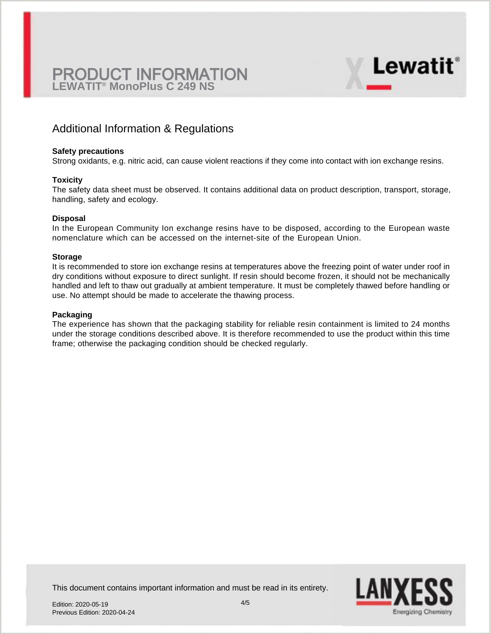

#### **Safety precautions**

Strong oxidants, e.g. nitric acid, can cause violent reactions if they come into contact with ion exchange resins.

#### **Toxicity**

The safety data sheet must be observed. It contains additional data on product description, transport, storage, handling, safety and ecology.

#### **Disposal**

In the European Community Ion exchange resins have to be disposed, according to the European waste nomenclature which can be accessed on the internet-site of the European Union.

#### **Storage**

It is recommended to store ion exchange resins at temperatures above the freezing point of water under roof in dry conditions without exposure to direct sunlight. If resin should become frozen, it should not be mechanically handled and left to thaw out gradually at ambient temperature. It must be completely thawed before handling or use. No attempt should be made to accelerate the thawing process.

#### **Packaging**

The experience has shown that the packaging stability for reliable resin containment is limited to 24 months under the storage conditions described above. It is therefore recommended to use the product within this time frame; otherwise the packaging condition should be checked regularly.



**Lewatit**®